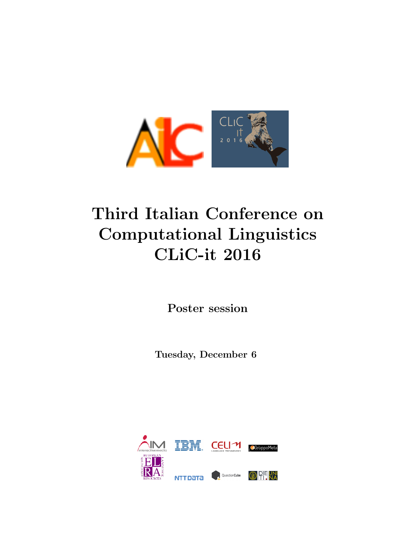

# Third Italian Conference on Computational Linguistics CLiC-it 2016

Poster session

Tuesday, December 6

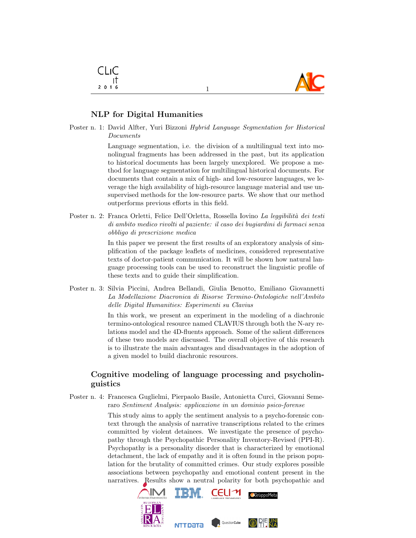

# NLP for Digital Humanities

CLIC -It  $2016$ 

Poster n. 1: David Alfter, Yuri Bizzoni Hybrid Language Segmentation for Historical Documents

1

Language segmentation, i.e. the division of a multilingual text into monolingual fragments has been addressed in the past, but its application to historical documents has been largely unexplored. We propose a method for language segmentation for multilingual historical documents. For documents that contain a mix of high- and low-resource languages, we leverage the high availability of high-resource language material and use unsupervised methods for the low-resource parts. We show that our method outperforms previous efforts in this field.

Poster n. 2: Franca Orletti, Felice Dell'Orletta, Rossella Iovino La leggibilità dei testi di ambito medico rivolti al paziente: il caso dei bugiardini di farmaci senza obbligo di prescrizione medica

> In this paper we present the first results of an exploratory analysis of simplification of the package leaflets of medicines, considered representative texts of doctor-patient communication. It will be shown how natural language processing tools can be used to reconstruct the linguistic profile of these texts and to guide their simplification.

Poster n. 3: Silvia Piccini, Andrea Bellandi, Giulia Benotto, Emiliano Giovannetti La Modellazione Diacronica di Risorse Termino-Ontologiche nell'Ambito delle Digital Humanities: Esperimenti su Clavius

> In this work, we present an experiment in the modeling of a diachronic termino-ontological resource named CLAVIUS through both the N-ary relations model and the 4D-fluents approach. Some of the salient differences of these two models are discussed. The overall objective of this research is to illustrate the main advantages and disadvantages in the adoption of a given model to build diachronic resources.

## Cognitive modeling of language processing and psycholinguistics

Poster n. 4: Francesca Guglielmi, Pierpaolo Basile, Antonietta Curci, Giovanni Semeraro Sentiment Analysis: applicazione in un dominio psico-forense

> This study aims to apply the sentiment analysis to a psycho-forensic context through the analysis of narrative transcriptions related to the crimes committed by violent detainees. We investigate the presence of psychopathy through the Psychopathic Personality Inventory-Revised (PPI-R). Psychopathy is a personality disorder that is characterized by emotional detachment, the lack of empathy and it is often found in the prison population for the brutality of committed crimes. Our study explores possible associations between psychopathy and emotional content present in the narratives. Results show a neutral polarity for both psychopathic and

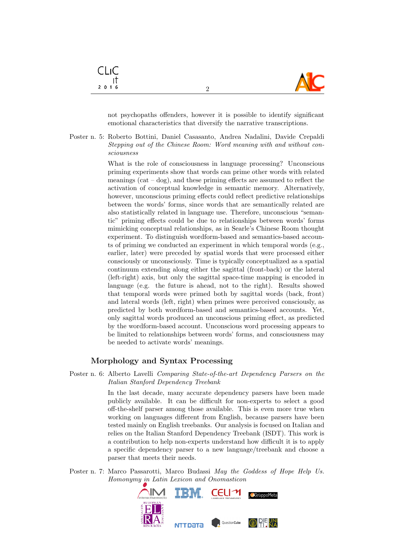

not psychopaths offenders, however it is possible to identify significant emotional characteristics that diversify the narrative transcriptions.

2

Poster n. 5: Roberto Bottini, Daniel Casasanto, Andrea Nadalini, Davide Crepaldi Stepping out of the Chinese Room: Word meaning with and without consciousness

> What is the role of consciousness in language processing? Unconscious priming experiments show that words can prime other words with related meanings (cat  $-\text{dog}$ ), and these priming effects are assumed to reflect the activation of conceptual knowledge in semantic memory. Alternatively, however, unconscious priming effects could reflect predictive relationships between the words' forms, since words that are semantically related are also statistically related in language use. Therefore, unconscious "semantic" priming effects could be due to relationships between words' forms mimicking conceptual relationships, as in Searle's Chinese Room thought experiment. To distinguish wordform-based and semantics-based accounts of priming we conducted an experiment in which temporal words (e.g., earlier, later) were preceded by spatial words that were processed either consciously or unconsciously. Time is typically conceptualized as a spatial continuum extending along either the sagittal (front-back) or the lateral (left-right) axis, but only the sagittal space-time mapping is encoded in language (e.g. the future is ahead, not to the right). Results showed that temporal words were primed both by sagittal words (back, front) and lateral words (left, right) when primes were perceived consciously, as predicted by both wordform-based and semantics-based accounts. Yet, only sagittal words produced an unconscious priming effect, as predicted by the wordform-based account. Unconscious word processing appears to be limited to relationships between words' forms, and consciousness may be needed to activate words' meanings.

#### Morphology and Syntax Processing

Poster n. 6: Alberto Lavelli Comparing State-of-the-art Dependency Parsers on the Italian Stanford Dependency Treebank

> In the last decade, many accurate dependency parsers have been made publicly available. It can be difficult for non-experts to select a good off-the-shelf parser among those available. This is even more true when working on languages different from English, because parsers have been tested mainly on English treebanks. Our analysis is focused on Italian and relies on the Italian Stanford Dependency Treebank (ISDT). This work is a contribution to help non-experts understand how difficult it is to apply a specific dependency parser to a new language/treebank and choose a parser that meets their needs.

Poster n. 7: Marco Passarotti, Marco Budassi May the Goddess of Hope Help Us. Homonymy in Latin Lexicon and Onomasticon



CLIC ा  $2016$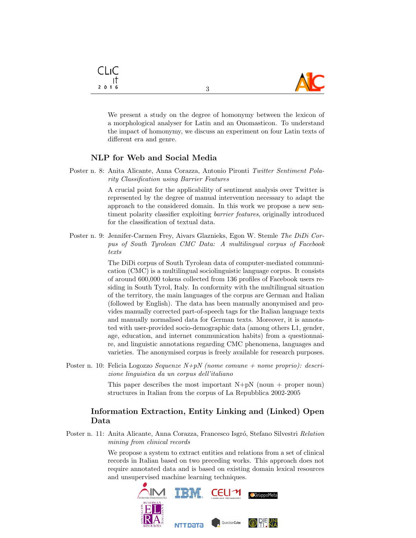

We present a study on the degree of homonymy between the lexicon of a morphological analyser for Latin and an Onomasticon. To understand the impact of homonymy, we discuss an experiment on four Latin texts of different era and genre.

3

#### NLP for Web and Social Media

Poster n. 8: Anita Alicante, Anna Corazza, Antonio Pironti Twitter Sentiment Polarity Classification using Barrier Features

> A crucial point for the applicability of sentiment analysis over Twitter is represented by the degree of manual intervention necessary to adapt the approach to the considered domain. In this work we propose a new sentiment polarity classifier exploiting barrier features, originally introduced for the classification of textual data.

Poster n. 9: Jennifer-Carmen Frey, Aivars Glaznieks, Egon W. Stemle The DiDi Corpus of South Tyrolean CMC Data: A multilingual corpus of Facebook texts

> The DiDi corpus of South Tyrolean data of computer-mediated communication (CMC) is a multilingual sociolinguistic language corpus. It consists of around 600,000 tokens collected from 136 profiles of Facebook users residing in South Tyrol, Italy. In conformity with the multilingual situation of the territory, the main languages of the corpus are German and Italian (followed by English). The data has been manually anonymised and provides manually corrected part-of-speech tags for the Italian language texts and manually normalised data for German texts. Moreover, it is annotated with user-provided socio-demographic data (among others L1, gender, age, education, and internet communication habits) from a questionnaire, and linguistic annotations regarding CMC phenomena, languages and varieties. The anonymised corpus is freely available for research purposes.

Poster n. 10: Felicia Logozzo *Sequenze N+pN* (nome comune + nome proprio): descrizione linguistica da un corpus dell'italiano

> This paper describes the most important  $N+pN$  (noun + proper noun) structures in Italian from the corpus of La Repubblica 2002-2005

## Information Extraction, Entity Linking and (Linked) Open Data

Poster n. 11: Anita Alicante, Anna Corazza, Francesco Isgró, Stefano Silvestri Relation mining from clinical records

> We propose a system to extract entities and relations from a set of clinical records in Italian based on two preceding works. This approach does not require annotated data and is based on existing domain lexical resources and unsupervised machine learning techniques.



CLIC ा  $2016$